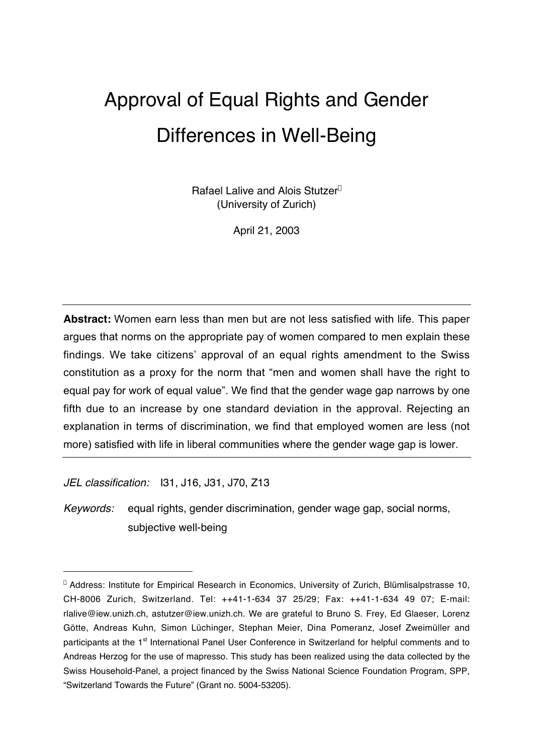# Approval of Equal Rights and Gender Differences in Well-Being

Rafael Lalive and Alois Stutzer\* (University of Zurich)

April 21, 2003

**Abstract:** Women earn less than men but are not less satisfied with life. This paper argues that norms on the appropriate pay of women compared to men explain these findings. We take citizens' approval of an equal rights amendment to the Swiss constitution as a proxy for the norm that "men and women shall have the right to equal pay for work of equal value". We find that the gender wage gap narrows by one fifth due to an increase by one standard deviation in the approval. Rejecting an explanation in terms of discrimination, we find that employed women are less (not more) satisfied with life in liberal communities where the gender wage gap is lower.

JEL classification: I31, J16, J31, J70, Z13

 $\overline{a}$ 

Keywords: equal rights, gender discrimination, gender wage gap, social norms, subjective well-being

<sup>\*</sup> Address: Institute for Empirical Research in Economics, University of Zurich, Blümlisalpstrasse 10, CH-8006 Zurich, Switzerland. Tel: ++41-1-634 37 25/29; Fax: ++41-1-634 49 07; E-mail: rlalive@iew.unizh.ch, astutzer@iew.unizh.ch. We are grateful to Bruno S. Frey, Ed Glaeser, Lorenz Götte, Andreas Kuhn, Simon Lüchinger, Stephan Meier, Dina Pomeranz, Josef Zweimüller and participants at the 1<sup>st</sup> International Panel User Conference in Switzerland for helpful comments and to Andreas Herzog for the use of mapresso. This study has been realized using the data collected by the Swiss Household-Panel, a project financed by the Swiss National Science Foundation Program, SPP, "Switzerland Towards the Future" (Grant no. 5004-53205).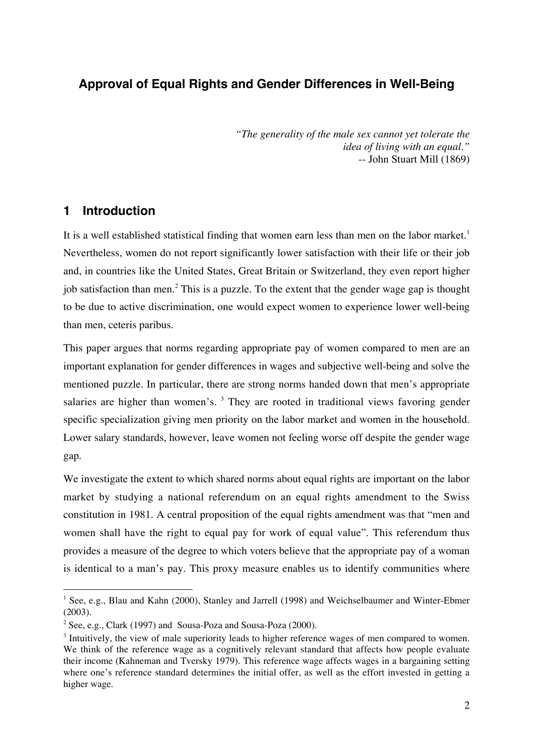# **Approval of Equal Rights and Gender Differences in Well-Being**

*"The generality of the male sex cannot yet tolerate the idea of living with an equal."* -- John Stuart Mill (1869)

## **1 Introduction**

It is a well established statistical finding that women earn less than men on the labor market.<sup>1</sup> Nevertheless, women do not report significantly lower satisfaction with their life or their job and, in countries like the United States, Great Britain or Switzerland, they even report higher job satisfaction than men.<sup>2</sup> This is a puzzle. To the extent that the gender wage gap is thought to be due to active discrimination, one would expect women to experience lower well-being than men, ceteris paribus.

This paper argues that norms regarding appropriate pay of women compared to men are an important explanation for gender differences in wages and subjective well-being and solve the mentioned puzzle. In particular, there are strong norms handed down that men's appropriate salaries are higher than women's.  $3$  They are rooted in traditional views favoring gender specific specialization giving men priority on the labor market and women in the household. Lower salary standards, however, leave women not feeling worse off despite the gender wage gap.

We investigate the extent to which shared norms about equal rights are important on the labor market by studying a national referendum on an equal rights amendment to the Swiss constitution in 1981. A central proposition of the equal rights amendment was that "men and women shall have the right to equal pay for work of equal value". This referendum thus provides a measure of the degree to which voters believe that the appropriate pay of a woman is identical to a man's pay. This proxy measure enables us to identify communities where

<sup>&</sup>lt;sup>1</sup> See, e.g., Blau and Kahn (2000), Stanley and Jarrell (1998) and Weichselbaumer and Winter-Ebmer (2003).

 $2^2$  See, e.g., Clark (1997) and Sousa-Poza and Sousa-Poza (2000).

 $3$  Intuitively, the view of male superiority leads to higher reference wages of men compared to women. We think of the reference wage as a cognitively relevant standard that affects how people evaluate their income (Kahneman and Tversky 1979). This reference wage affects wages in a bargaining setting where one's reference standard determines the initial offer, as well as the effort invested in getting a higher wage.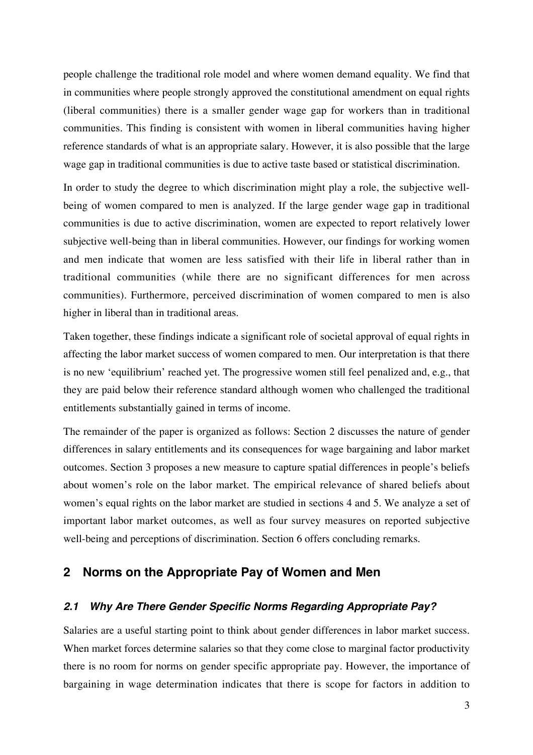people challenge the traditional role model and where women demand equality. We find that in communities where people strongly approved the constitutional amendment on equal rights (liberal communities) there is a smaller gender wage gap for workers than in traditional communities. This finding is consistent with women in liberal communities having higher reference standards of what is an appropriate salary. However, it is also possible that the large wage gap in traditional communities is due to active taste based or statistical discrimination.

In order to study the degree to which discrimination might play a role, the subjective wellbeing of women compared to men is analyzed. If the large gender wage gap in traditional communities is due to active discrimination, women are expected to report relatively lower subjective well-being than in liberal communities. However, our findings for working women and men indicate that women are less satisfied with their life in liberal rather than in traditional communities (while there are no significant differences for men across communities). Furthermore, perceived discrimination of women compared to men is also higher in liberal than in traditional areas.

Taken together, these findings indicate a significant role of societal approval of equal rights in affecting the labor market success of women compared to men. Our interpretation is that there is no new 'equilibrium' reached yet. The progressive women still feel penalized and, e.g., that they are paid below their reference standard although women who challenged the traditional entitlements substantially gained in terms of income.

The remainder of the paper is organized as follows: Section 2 discusses the nature of gender differences in salary entitlements and its consequences for wage bargaining and labor market outcomes. Section 3 proposes a new measure to capture spatial differences in people's beliefs about women's role on the labor market. The empirical relevance of shared beliefs about women's equal rights on the labor market are studied in sections 4 and 5. We analyze a set of important labor market outcomes, as well as four survey measures on reported subjective well-being and perceptions of discrimination. Section 6 offers concluding remarks.

## **2 Norms on the Appropriate Pay of Women and Men**

## **2.1 Why Are There Gender Specific Norms Regarding Appropriate Pay?**

Salaries are a useful starting point to think about gender differences in labor market success. When market forces determine salaries so that they come close to marginal factor productivity there is no room for norms on gender specific appropriate pay. However, the importance of bargaining in wage determination indicates that there is scope for factors in addition to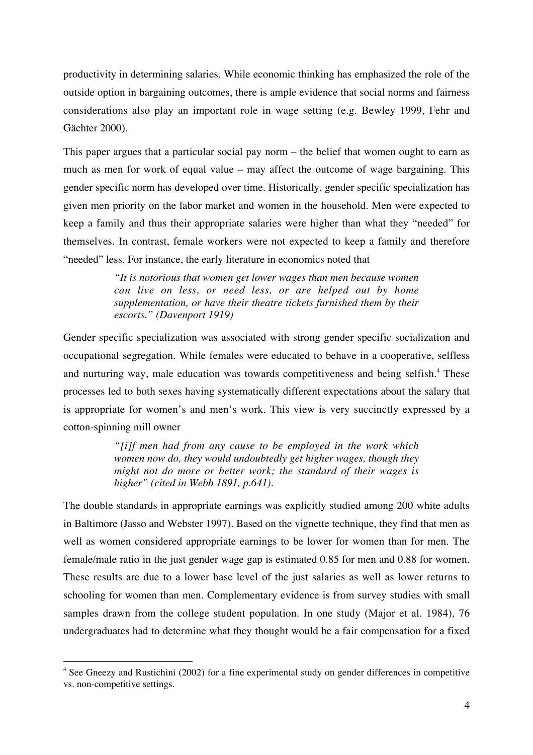productivity in determining salaries. While economic thinking has emphasized the role of the outside option in bargaining outcomes, there is ample evidence that social norms and fairness considerations also play an important role in wage setting (e.g. Bewley 1999, Fehr and Gächter 2000).

This paper argues that a particular social pay norm – the belief that women ought to earn as much as men for work of equal value – may affect the outcome of wage bargaining. This gender specific norm has developed over time. Historically, gender specific specialization has given men priority on the labor market and women in the household. Men were expected to keep a family and thus their appropriate salaries were higher than what they "needed" for themselves. In contrast, female workers were not expected to keep a family and therefore "needed" less. For instance, the early literature in economics noted that

> *"It is notorious that women get lower wages than men because women can live on less, or need less, or are helped out by home supplementation, or have their theatre tickets furnished them by their escorts." (Davenport 1919)*

Gender specific specialization was associated with strong gender specific socialization and occupational segregation. While females were educated to behave in a cooperative, selfless and nurturing way, male education was towards competitiveness and being selfish.<sup>4</sup> These processes led to both sexes having systematically different expectations about the salary that is appropriate for women's and men's work. This view is very succinctly expressed by a cotton-spinning mill owner

> *"[i]f men had from any cause to be employed in the work which women now do, they would undoubtedly get higher wages, though they might not do more or better work; the standard of their wages is higher" (cited in Webb 1891, p.641).*

The double standards in appropriate earnings was explicitly studied among 200 white adults in Baltimore (Jasso and Webster 1997). Based on the vignette technique, they find that men as well as women considered appropriate earnings to be lower for women than for men. The female/male ratio in the just gender wage gap is estimated 0.85 for men and 0.88 for women. These results are due to a lower base level of the just salaries as well as lower returns to schooling for women than men. Complementary evidence is from survey studies with small samples drawn from the college student population. In one study (Major et al. 1984), 76 undergraduates had to determine what they thought would be a fair compensation for a fixed

<sup>&</sup>lt;sup>4</sup> See Gneezy and Rustichini (2002) for a fine experimental study on gender differences in competitive vs. non-competitive settings.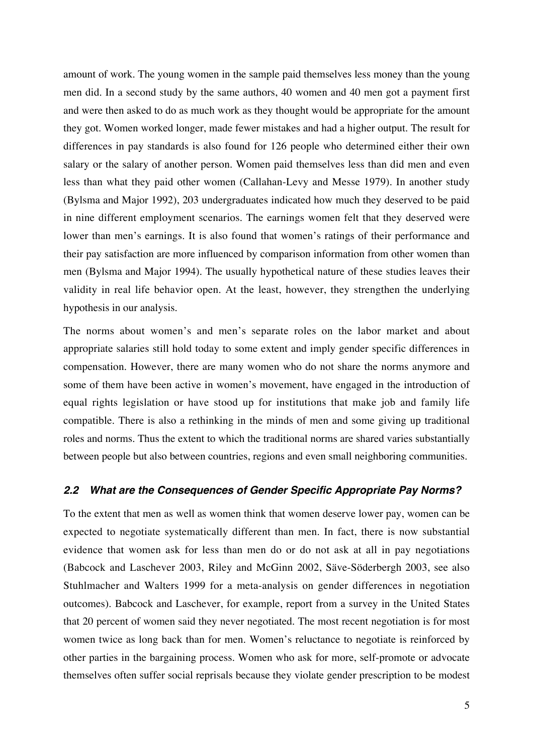amount of work. The young women in the sample paid themselves less money than the young men did. In a second study by the same authors, 40 women and 40 men got a payment first and were then asked to do as much work as they thought would be appropriate for the amount they got. Women worked longer, made fewer mistakes and had a higher output. The result for differences in pay standards is also found for 126 people who determined either their own salary or the salary of another person. Women paid themselves less than did men and even less than what they paid other women (Callahan-Levy and Messe 1979). In another study (Bylsma and Major 1992), 203 undergraduates indicated how much they deserved to be paid in nine different employment scenarios. The earnings women felt that they deserved were lower than men's earnings. It is also found that women's ratings of their performance and their pay satisfaction are more influenced by comparison information from other women than men (Bylsma and Major 1994). The usually hypothetical nature of these studies leaves their validity in real life behavior open. At the least, however, they strengthen the underlying hypothesis in our analysis.

The norms about women's and men's separate roles on the labor market and about appropriate salaries still hold today to some extent and imply gender specific differences in compensation. However, there are many women who do not share the norms anymore and some of them have been active in women's movement, have engaged in the introduction of equal rights legislation or have stood up for institutions that make job and family life compatible. There is also a rethinking in the minds of men and some giving up traditional roles and norms. Thus the extent to which the traditional norms are shared varies substantially between people but also between countries, regions and even small neighboring communities.

## **2.2 What are the Consequences of Gender Specific Appropriate Pay Norms?**

To the extent that men as well as women think that women deserve lower pay, women can be expected to negotiate systematically different than men. In fact, there is now substantial evidence that women ask for less than men do or do not ask at all in pay negotiations (Babcock and Laschever 2003, Riley and McGinn 2002, Säve-Söderbergh 2003, see also Stuhlmacher and Walters 1999 for a meta-analysis on gender differences in negotiation outcomes). Babcock and Laschever, for example, report from a survey in the United States that 20 percent of women said they never negotiated. The most recent negotiation is for most women twice as long back than for men. Women's reluctance to negotiate is reinforced by other parties in the bargaining process. Women who ask for more, self-promote or advocate themselves often suffer social reprisals because they violate gender prescription to be modest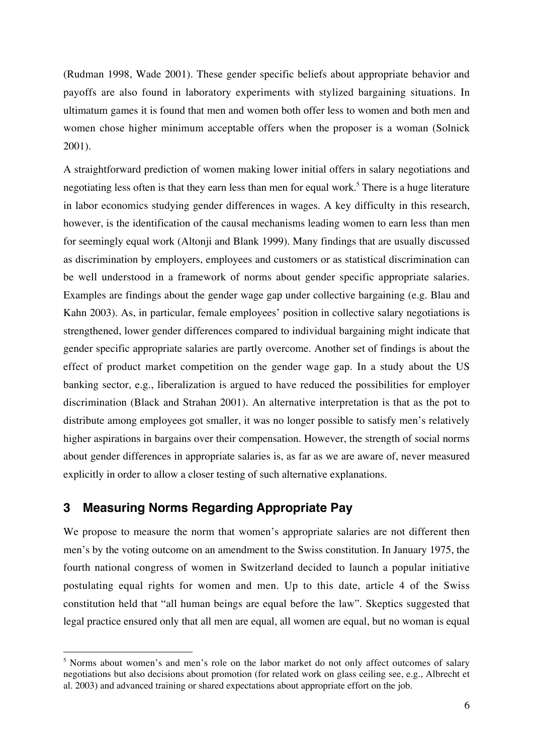(Rudman 1998, Wade 2001). These gender specific beliefs about appropriate behavior and payoffs are also found in laboratory experiments with stylized bargaining situations. In ultimatum games it is found that men and women both offer less to women and both men and women chose higher minimum acceptable offers when the proposer is a woman (Solnick 2001).

A straightforward prediction of women making lower initial offers in salary negotiations and negotiating less often is that they earn less than men for equal work.<sup>5</sup> There is a huge literature in labor economics studying gender differences in wages. A key difficulty in this research, however, is the identification of the causal mechanisms leading women to earn less than men for seemingly equal work (Altonji and Blank 1999). Many findings that are usually discussed as discrimination by employers, employees and customers or as statistical discrimination can be well understood in a framework of norms about gender specific appropriate salaries. Examples are findings about the gender wage gap under collective bargaining (e.g. Blau and Kahn 2003). As, in particular, female employees' position in collective salary negotiations is strengthened, lower gender differences compared to individual bargaining might indicate that gender specific appropriate salaries are partly overcome. Another set of findings is about the effect of product market competition on the gender wage gap. In a study about the US banking sector, e.g., liberalization is argued to have reduced the possibilities for employer discrimination (Black and Strahan 2001). An alternative interpretation is that as the pot to distribute among employees got smaller, it was no longer possible to satisfy men's relatively higher aspirations in bargains over their compensation. However, the strength of social norms about gender differences in appropriate salaries is, as far as we are aware of, never measured explicitly in order to allow a closer testing of such alternative explanations.

## **3 Measuring Norms Regarding Appropriate Pay**

We propose to measure the norm that women's appropriate salaries are not different then men's by the voting outcome on an amendment to the Swiss constitution. In January 1975, the fourth national congress of women in Switzerland decided to launch a popular initiative postulating equal rights for women and men. Up to this date, article 4 of the Swiss constitution held that "all human beings are equal before the law". Skeptics suggested that legal practice ensured only that all men are equal, all women are equal, but no woman is equal

<sup>&</sup>lt;sup>5</sup> Norms about women's and men's role on the labor market do not only affect outcomes of salary negotiations but also decisions about promotion (for related work on glass ceiling see, e.g., Albrecht et al. 2003) and advanced training or shared expectations about appropriate effort on the job.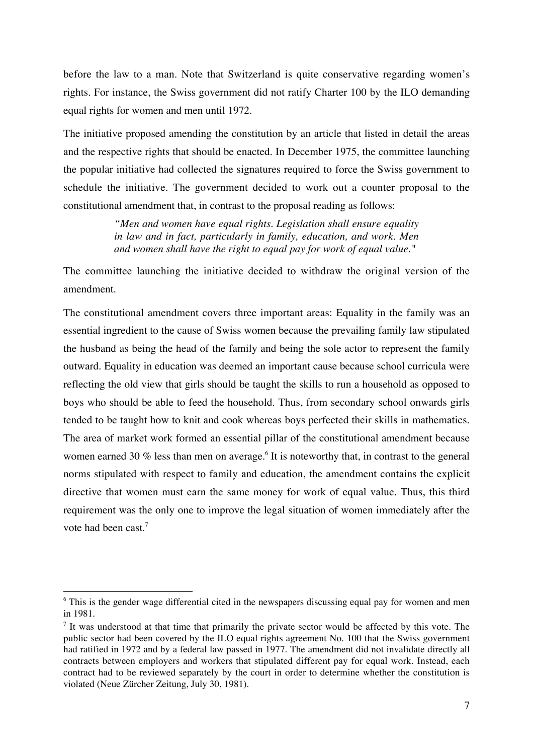before the law to a man. Note that Switzerland is quite conservative regarding women's rights. For instance, the Swiss government did not ratify Charter 100 by the ILO demanding equal rights for women and men until 1972.

The initiative proposed amending the constitution by an article that listed in detail the areas and the respective rights that should be enacted. In December 1975, the committee launching the popular initiative had collected the signatures required to force the Swiss government to schedule the initiative. The government decided to work out a counter proposal to the constitutional amendment that, in contrast to the proposal reading as follows:

> *"Men and women have equal rights. Legislation shall ensure equality in law and in fact, particularly in family, education, and work. Men and women shall have the right to equal pay for work of equal value."*

The committee launching the initiative decided to withdraw the original version of the amendment.

The constitutional amendment covers three important areas: Equality in the family was an essential ingredient to the cause of Swiss women because the prevailing family law stipulated the husband as being the head of the family and being the sole actor to represent the family outward. Equality in education was deemed an important cause because school curricula were reflecting the old view that girls should be taught the skills to run a household as opposed to boys who should be able to feed the household. Thus, from secondary school onwards girls tended to be taught how to knit and cook whereas boys perfected their skills in mathematics. The area of market work formed an essential pillar of the constitutional amendment because women earned 30  $\%$  less than men on average.<sup>6</sup> It is noteworthy that, in contrast to the general norms stipulated with respect to family and education, the amendment contains the explicit directive that women must earn the same money for work of equal value. Thus, this third requirement was the only one to improve the legal situation of women immediately after the vote had been cast<sup>7</sup>

<sup>&</sup>lt;sup>6</sup> This is the gender wage differential cited in the newspapers discussing equal pay for women and men in 1981.

 $<sup>7</sup>$  It was understood at that time that primarily the private sector would be affected by this vote. The</sup> public sector had been covered by the ILO equal rights agreement No. 100 that the Swiss government had ratified in 1972 and by a federal law passed in 1977. The amendment did not invalidate directly all contracts between employers and workers that stipulated different pay for equal work. Instead, each contract had to be reviewed separately by the court in order to determine whether the constitution is violated (Neue Zürcher Zeitung, July 30, 1981).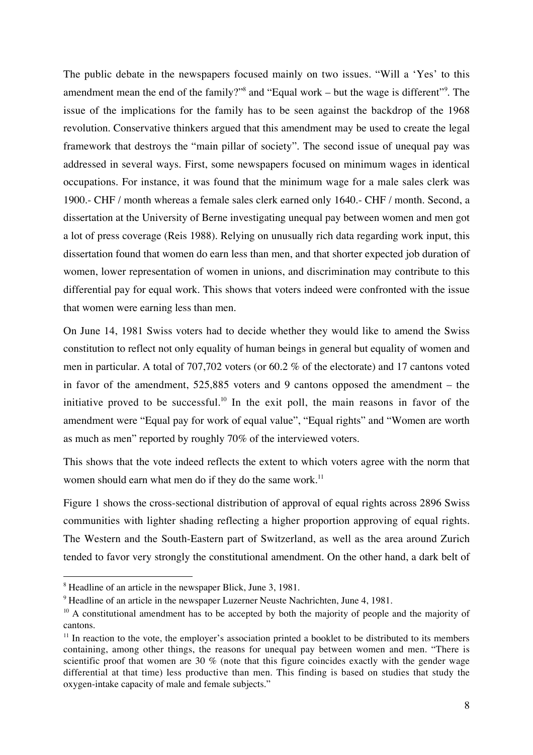The public debate in the newspapers focused mainly on two issues. "Will a 'Yes' to this amendment mean the end of the family?"<sup>8</sup> and "Equal work – but the wage is different"<sup>9</sup>. The issue of the implications for the family has to be seen against the backdrop of the 1968 revolution. Conservative thinkers argued that this amendment may be used to create the legal framework that destroys the "main pillar of society". The second issue of unequal pay was addressed in several ways. First, some newspapers focused on minimum wages in identical occupations. For instance, it was found that the minimum wage for a male sales clerk was 1900.- CHF / month whereas a female sales clerk earned only 1640.- CHF / month. Second, a dissertation at the University of Berne investigating unequal pay between women and men got a lot of press coverage (Reis 1988). Relying on unusually rich data regarding work input, this dissertation found that women do earn less than men, and that shorter expected job duration of women, lower representation of women in unions, and discrimination may contribute to this differential pay for equal work. This shows that voters indeed were confronted with the issue that women were earning less than men.

On June 14, 1981 Swiss voters had to decide whether they would like to amend the Swiss constitution to reflect not only equality of human beings in general but equality of women and men in particular. A total of 707,702 voters (or 60.2 % of the electorate) and 17 cantons voted in favor of the amendment, 525,885 voters and 9 cantons opposed the amendment – the initiative proved to be successful.<sup>10</sup> In the exit poll, the main reasons in favor of the amendment were "Equal pay for work of equal value", "Equal rights" and "Women are worth as much as men" reported by roughly 70% of the interviewed voters.

This shows that the vote indeed reflects the extent to which voters agree with the norm that women should earn what men do if they do the same work.<sup>11</sup>

Figure 1 shows the cross-sectional distribution of approval of equal rights across 2896 Swiss communities with lighter shading reflecting a higher proportion approving of equal rights. The Western and the South-Eastern part of Switzerland, as well as the area around Zurich tended to favor very strongly the constitutional amendment. On the other hand, a dark belt of

 <sup>8</sup> <sup>8</sup> Headline of an article in the newspaper Blick, June 3, 1981.

<sup>&</sup>lt;sup>9</sup> Headline of an article in the newspaper Luzerner Neuste Nachrichten, June 4, 1981.

 $10$  A constitutional amendment has to be accepted by both the majority of people and the majority of cantons.

 $11$  In reaction to the vote, the employer's association printed a booklet to be distributed to its members containing, among other things, the reasons for unequal pay between women and men. "There is scientific proof that women are 30 % (note that this figure coincides exactly with the gender wage differential at that time) less productive than men. This finding is based on studies that study the oxygen-intake capacity of male and female subjects."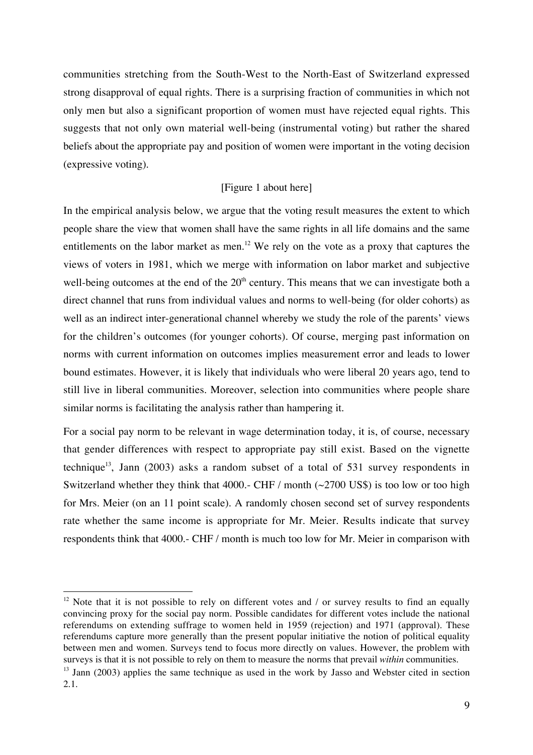communities stretching from the South-West to the North-East of Switzerland expressed strong disapproval of equal rights. There is a surprising fraction of communities in which not only men but also a significant proportion of women must have rejected equal rights. This suggests that not only own material well-being (instrumental voting) but rather the shared beliefs about the appropriate pay and position of women were important in the voting decision (expressive voting).

## [Figure 1 about here]

In the empirical analysis below, we argue that the voting result measures the extent to which people share the view that women shall have the same rights in all life domains and the same entitlements on the labor market as men.<sup>12</sup> We rely on the vote as a proxy that captures the views of voters in 1981, which we merge with information on labor market and subjective well-being outcomes at the end of the  $20<sup>th</sup>$  century. This means that we can investigate both a direct channel that runs from individual values and norms to well-being (for older cohorts) as well as an indirect inter-generational channel whereby we study the role of the parents' views for the children's outcomes (for younger cohorts). Of course, merging past information on norms with current information on outcomes implies measurement error and leads to lower bound estimates. However, it is likely that individuals who were liberal 20 years ago, tend to still live in liberal communities. Moreover, selection into communities where people share similar norms is facilitating the analysis rather than hampering it.

For a social pay norm to be relevant in wage determination today, it is, of course, necessary that gender differences with respect to appropriate pay still exist. Based on the vignette technique<sup>13</sup>, Jann (2003) asks a random subset of a total of 531 survey respondents in Switzerland whether they think that 4000.- CHF / month  $(\sim 2700 \text{ US})$  is too low or too high for Mrs. Meier (on an 11 point scale). A randomly chosen second set of survey respondents rate whether the same income is appropriate for Mr. Meier. Results indicate that survey respondents think that 4000.- CHF / month is much too low for Mr. Meier in comparison with

<sup>&</sup>lt;sup>12</sup> Note that it is not possible to rely on different votes and  $\ell$  or survey results to find an equally convincing proxy for the social pay norm. Possible candidates for different votes include the national referendums on extending suffrage to women held in 1959 (rejection) and 1971 (approval). These referendums capture more generally than the present popular initiative the notion of political equality between men and women. Surveys tend to focus more directly on values. However, the problem with surveys is that it is not possible to rely on them to measure the norms that prevail *within* communities.

<sup>&</sup>lt;sup>13</sup> Jann (2003) applies the same technique as used in the work by Jasso and Webster cited in section 2.1.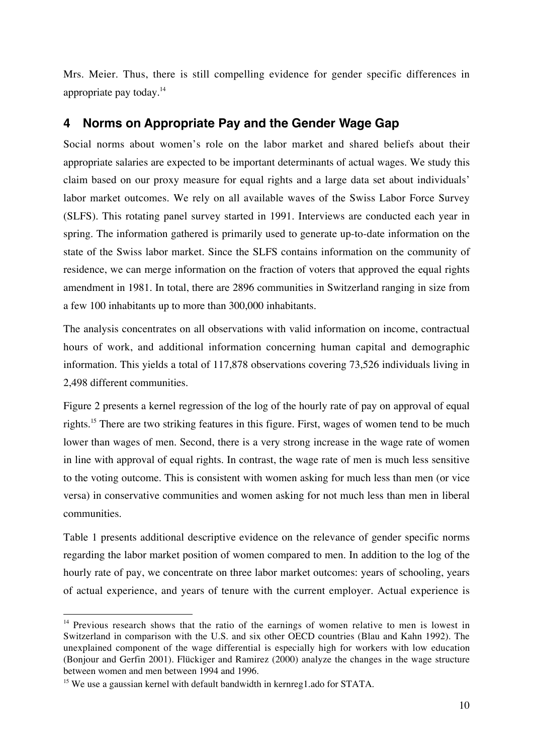Mrs. Meier. Thus, there is still compelling evidence for gender specific differences in appropriate pay today.14

# **4 Norms on Appropriate Pay and the Gender Wage Gap**

Social norms about women's role on the labor market and shared beliefs about their appropriate salaries are expected to be important determinants of actual wages. We study this claim based on our proxy measure for equal rights and a large data set about individuals' labor market outcomes. We rely on all available waves of the Swiss Labor Force Survey (SLFS). This rotating panel survey started in 1991. Interviews are conducted each year in spring. The information gathered is primarily used to generate up-to-date information on the state of the Swiss labor market. Since the SLFS contains information on the community of residence, we can merge information on the fraction of voters that approved the equal rights amendment in 1981. In total, there are 2896 communities in Switzerland ranging in size from a few 100 inhabitants up to more than 300,000 inhabitants.

The analysis concentrates on all observations with valid information on income, contractual hours of work, and additional information concerning human capital and demographic information. This yields a total of 117,878 observations covering 73,526 individuals living in 2,498 different communities.

Figure 2 presents a kernel regression of the log of the hourly rate of pay on approval of equal rights.<sup>15</sup> There are two striking features in this figure. First, wages of women tend to be much lower than wages of men. Second, there is a very strong increase in the wage rate of women in line with approval of equal rights. In contrast, the wage rate of men is much less sensitive to the voting outcome. This is consistent with women asking for much less than men (or vice versa) in conservative communities and women asking for not much less than men in liberal communities.

Table 1 presents additional descriptive evidence on the relevance of gender specific norms regarding the labor market position of women compared to men. In addition to the log of the hourly rate of pay, we concentrate on three labor market outcomes: years of schooling, years of actual experience, and years of tenure with the current employer. Actual experience is

 $14$  Previous research shows that the ratio of the earnings of women relative to men is lowest in Switzerland in comparison with the U.S. and six other OECD countries (Blau and Kahn 1992). The unexplained component of the wage differential is especially high for workers with low education (Bonjour and Gerfin 2001). Flückiger and Ramirez (2000) analyze the changes in the wage structure between women and men between 1994 and 1996.

<sup>&</sup>lt;sup>15</sup> We use a gaussian kernel with default bandwidth in kernreg1.ado for STATA.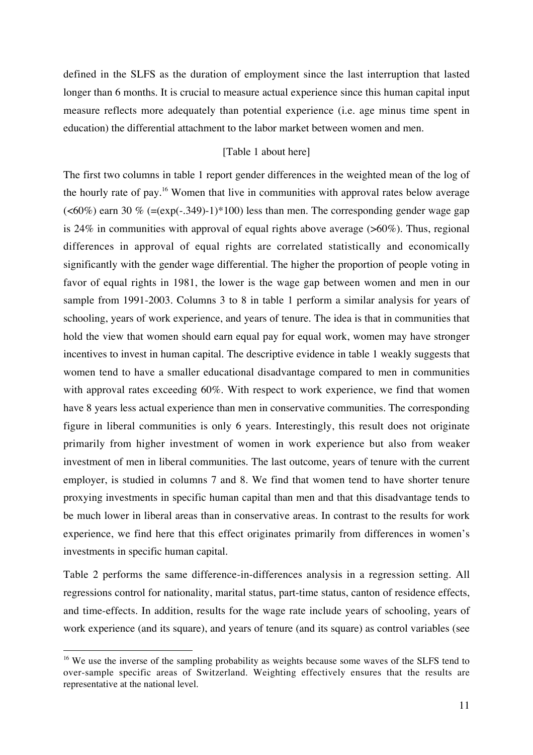defined in the SLFS as the duration of employment since the last interruption that lasted longer than 6 months. It is crucial to measure actual experience since this human capital input measure reflects more adequately than potential experience (i.e. age minus time spent in education) the differential attachment to the labor market between women and men.

## [Table 1 about here]

The first two columns in table 1 report gender differences in the weighted mean of the log of the hourly rate of pay.<sup>16</sup> Women that live in communities with approval rates below average  $\left($  <60%) earn 30 % (=(exp(-.349)-1)\*100) less than men. The corresponding gender wage gap is 24% in communities with approval of equal rights above average  $($ >60%). Thus, regional differences in approval of equal rights are correlated statistically and economically significantly with the gender wage differential. The higher the proportion of people voting in favor of equal rights in 1981, the lower is the wage gap between women and men in our sample from 1991-2003. Columns 3 to 8 in table 1 perform a similar analysis for years of schooling, years of work experience, and years of tenure. The idea is that in communities that hold the view that women should earn equal pay for equal work, women may have stronger incentives to invest in human capital. The descriptive evidence in table 1 weakly suggests that women tend to have a smaller educational disadvantage compared to men in communities with approval rates exceeding 60%. With respect to work experience, we find that women have 8 years less actual experience than men in conservative communities. The corresponding figure in liberal communities is only 6 years. Interestingly, this result does not originate primarily from higher investment of women in work experience but also from weaker investment of men in liberal communities. The last outcome, years of tenure with the current employer, is studied in columns 7 and 8. We find that women tend to have shorter tenure proxying investments in specific human capital than men and that this disadvantage tends to be much lower in liberal areas than in conservative areas. In contrast to the results for work experience, we find here that this effect originates primarily from differences in women's investments in specific human capital.

Table 2 performs the same difference-in-differences analysis in a regression setting. All regressions control for nationality, marital status, part-time status, canton of residence effects, and time-effects. In addition, results for the wage rate include years of schooling, years of work experience (and its square), and years of tenure (and its square) as control variables (see

<sup>&</sup>lt;sup>16</sup> We use the inverse of the sampling probability as weights because some waves of the SLFS tend to over-sample specific areas of Switzerland. Weighting effectively ensures that the results are representative at the national level.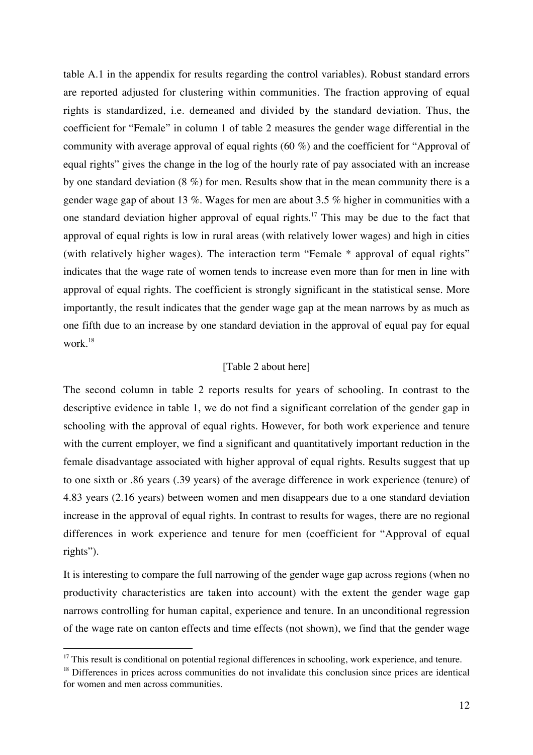table A.1 in the appendix for results regarding the control variables). Robust standard errors are reported adjusted for clustering within communities. The fraction approving of equal rights is standardized, i.e. demeaned and divided by the standard deviation. Thus, the coefficient for "Female" in column 1 of table 2 measures the gender wage differential in the community with average approval of equal rights (60 %) and the coefficient for "Approval of equal rights" gives the change in the log of the hourly rate of pay associated with an increase by one standard deviation (8 %) for men. Results show that in the mean community there is a gender wage gap of about 13 %. Wages for men are about 3.5 % higher in communities with a one standard deviation higher approval of equal rights.<sup>17</sup> This may be due to the fact that approval of equal rights is low in rural areas (with relatively lower wages) and high in cities (with relatively higher wages). The interaction term "Female \* approval of equal rights" indicates that the wage rate of women tends to increase even more than for men in line with approval of equal rights. The coefficient is strongly significant in the statistical sense. More importantly, the result indicates that the gender wage gap at the mean narrows by as much as one fifth due to an increase by one standard deviation in the approval of equal pay for equal work.18

## [Table 2 about here]

The second column in table 2 reports results for years of schooling. In contrast to the descriptive evidence in table 1, we do not find a significant correlation of the gender gap in schooling with the approval of equal rights. However, for both work experience and tenure with the current employer, we find a significant and quantitatively important reduction in the female disadvantage associated with higher approval of equal rights. Results suggest that up to one sixth or .86 years (.39 years) of the average difference in work experience (tenure) of 4.83 years (2.16 years) between women and men disappears due to a one standard deviation increase in the approval of equal rights. In contrast to results for wages, there are no regional differences in work experience and tenure for men (coefficient for "Approval of equal rights").

It is interesting to compare the full narrowing of the gender wage gap across regions (when no productivity characteristics are taken into account) with the extent the gender wage gap narrows controlling for human capital, experience and tenure. In an unconditional regression of the wage rate on canton effects and time effects (not shown), we find that the gender wage

<sup>&</sup>lt;sup>17</sup> This result is conditional on potential regional differences in schooling, work experience, and tenure.

 $18$  Differences in prices across communities do not invalidate this conclusion since prices are identical for women and men across communities.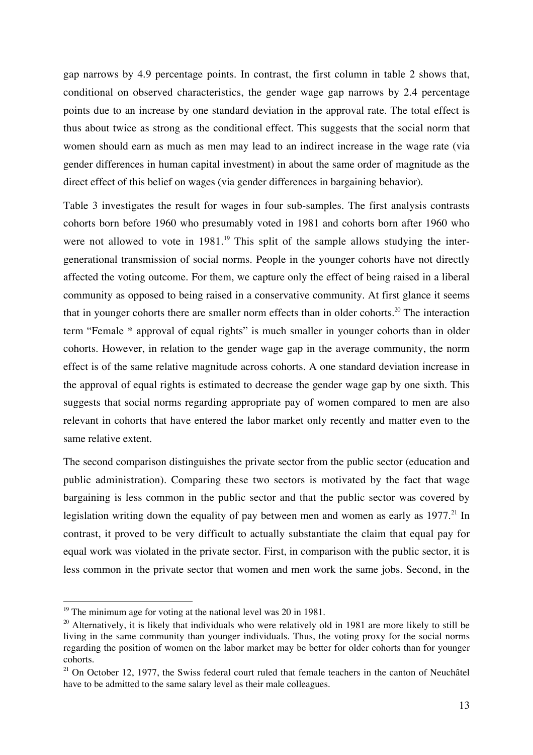gap narrows by 4.9 percentage points. In contrast, the first column in table 2 shows that, conditional on observed characteristics, the gender wage gap narrows by 2.4 percentage points due to an increase by one standard deviation in the approval rate. The total effect is thus about twice as strong as the conditional effect. This suggests that the social norm that women should earn as much as men may lead to an indirect increase in the wage rate (via gender differences in human capital investment) in about the same order of magnitude as the direct effect of this belief on wages (via gender differences in bargaining behavior).

Table 3 investigates the result for wages in four sub-samples. The first analysis contrasts cohorts born before 1960 who presumably voted in 1981 and cohorts born after 1960 who were not allowed to vote in  $1981<sup>19</sup>$ . This split of the sample allows studying the intergenerational transmission of social norms. People in the younger cohorts have not directly affected the voting outcome. For them, we capture only the effect of being raised in a liberal community as opposed to being raised in a conservative community. At first glance it seems that in younger cohorts there are smaller norm effects than in older cohorts.<sup>20</sup> The interaction term "Female \* approval of equal rights" is much smaller in younger cohorts than in older cohorts. However, in relation to the gender wage gap in the average community, the norm effect is of the same relative magnitude across cohorts. A one standard deviation increase in the approval of equal rights is estimated to decrease the gender wage gap by one sixth. This suggests that social norms regarding appropriate pay of women compared to men are also relevant in cohorts that have entered the labor market only recently and matter even to the same relative extent.

The second comparison distinguishes the private sector from the public sector (education and public administration). Comparing these two sectors is motivated by the fact that wage bargaining is less common in the public sector and that the public sector was covered by legislation writing down the equality of pay between men and women as early as 1977.<sup>21</sup> In contrast, it proved to be very difficult to actually substantiate the claim that equal pay for equal work was violated in the private sector. First, in comparison with the public sector, it is less common in the private sector that women and men work the same jobs. Second, in the

<sup>&</sup>lt;sup>19</sup> The minimum age for voting at the national level was 20 in 1981.

 $20$  Alternatively, it is likely that individuals who were relatively old in 1981 are more likely to still be living in the same community than younger individuals. Thus, the voting proxy for the social norms regarding the position of women on the labor market may be better for older cohorts than for younger cohorts.

 $21$  On October 12, 1977, the Swiss federal court ruled that female teachers in the canton of Neuchâtel have to be admitted to the same salary level as their male colleagues.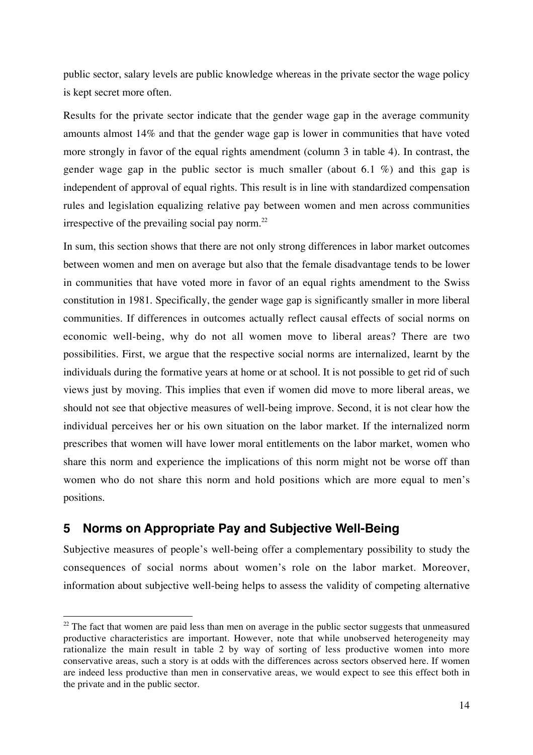public sector, salary levels are public knowledge whereas in the private sector the wage policy is kept secret more often.

Results for the private sector indicate that the gender wage gap in the average community amounts almost 14% and that the gender wage gap is lower in communities that have voted more strongly in favor of the equal rights amendment (column 3 in table 4). In contrast, the gender wage gap in the public sector is much smaller (about 6.1 %) and this gap is independent of approval of equal rights. This result is in line with standardized compensation rules and legislation equalizing relative pay between women and men across communities irrespective of the prevailing social pay norm. $^{22}$ 

In sum, this section shows that there are not only strong differences in labor market outcomes between women and men on average but also that the female disadvantage tends to be lower in communities that have voted more in favor of an equal rights amendment to the Swiss constitution in 1981. Specifically, the gender wage gap is significantly smaller in more liberal communities. If differences in outcomes actually reflect causal effects of social norms on economic well-being, why do not all women move to liberal areas? There are two possibilities. First, we argue that the respective social norms are internalized, learnt by the individuals during the formative years at home or at school. It is not possible to get rid of such views just by moving. This implies that even if women did move to more liberal areas, we should not see that objective measures of well-being improve. Second, it is not clear how the individual perceives her or his own situation on the labor market. If the internalized norm prescribes that women will have lower moral entitlements on the labor market, women who share this norm and experience the implications of this norm might not be worse off than women who do not share this norm and hold positions which are more equal to men's positions.

# **5 Norms on Appropriate Pay and Subjective Well-Being**

Subjective measures of people's well-being offer a complementary possibility to study the consequences of social norms about women's role on the labor market. Moreover, information about subjective well-being helps to assess the validity of competing alternative

 $22$  The fact that women are paid less than men on average in the public sector suggests that unmeasured productive characteristics are important. However, note that while unobserved heterogeneity may rationalize the main result in table 2 by way of sorting of less productive women into more conservative areas, such a story is at odds with the differences across sectors observed here. If women are indeed less productive than men in conservative areas, we would expect to see this effect both in the private and in the public sector.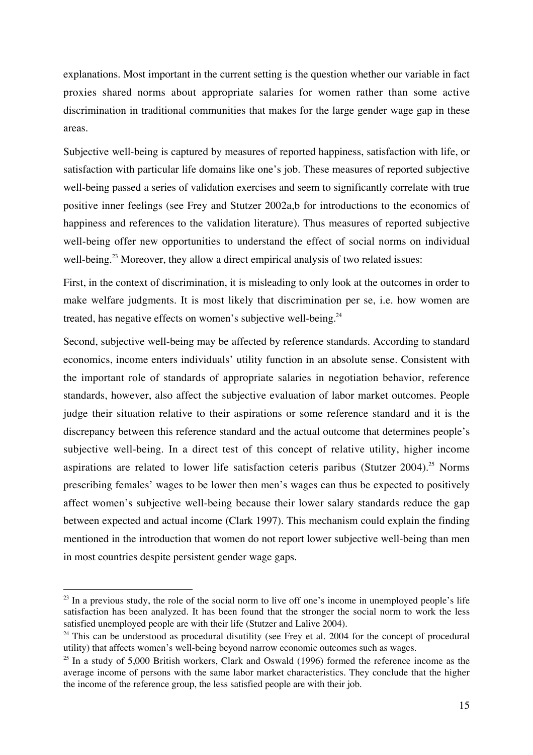explanations. Most important in the current setting is the question whether our variable in fact proxies shared norms about appropriate salaries for women rather than some active discrimination in traditional communities that makes for the large gender wage gap in these areas.

Subjective well-being is captured by measures of reported happiness, satisfaction with life, or satisfaction with particular life domains like one's job. These measures of reported subjective well-being passed a series of validation exercises and seem to significantly correlate with true positive inner feelings (see Frey and Stutzer 2002a,b for introductions to the economics of happiness and references to the validation literature). Thus measures of reported subjective well-being offer new opportunities to understand the effect of social norms on individual well-being.<sup>23</sup> Moreover, they allow a direct empirical analysis of two related issues:

First, in the context of discrimination, it is misleading to only look at the outcomes in order to make welfare judgments. It is most likely that discrimination per se, i.e. how women are treated, has negative effects on women's subjective well-being. $^{24}$ 

Second, subjective well-being may be affected by reference standards. According to standard economics, income enters individuals' utility function in an absolute sense. Consistent with the important role of standards of appropriate salaries in negotiation behavior, reference standards, however, also affect the subjective evaluation of labor market outcomes. People judge their situation relative to their aspirations or some reference standard and it is the discrepancy between this reference standard and the actual outcome that determines people's subjective well-being. In a direct test of this concept of relative utility, higher income aspirations are related to lower life satisfaction ceteris paribus (Stutzer 2004).<sup>25</sup> Norms prescribing females' wages to be lower then men's wages can thus be expected to positively affect women's subjective well-being because their lower salary standards reduce the gap between expected and actual income (Clark 1997). This mechanism could explain the finding mentioned in the introduction that women do not report lower subjective well-being than men in most countries despite persistent gender wage gaps.

 $^{23}$  In a previous study, the role of the social norm to live off one's income in unemployed people's life satisfaction has been analyzed. It has been found that the stronger the social norm to work the less satisfied unemployed people are with their life (Stutzer and Lalive 2004).

 $24$  This can be understood as procedural disutility (see Frey et al. 2004 for the concept of procedural utility) that affects women's well-being beyond narrow economic outcomes such as wages.

 $25$  In a study of 5,000 British workers, Clark and Oswald (1996) formed the reference income as the average income of persons with the same labor market characteristics. They conclude that the higher the income of the reference group, the less satisfied people are with their job.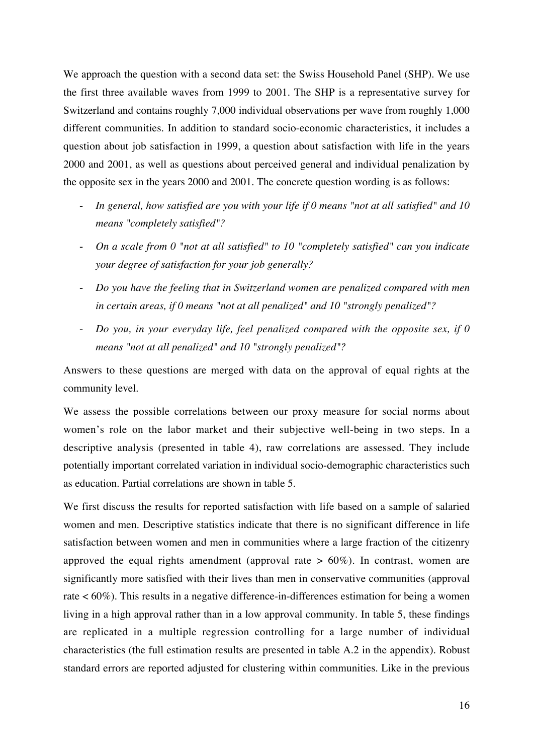We approach the question with a second data set: the Swiss Household Panel (SHP). We use the first three available waves from 1999 to 2001. The SHP is a representative survey for Switzerland and contains roughly 7,000 individual observations per wave from roughly 1,000 different communities. In addition to standard socio-economic characteristics, it includes a question about job satisfaction in 1999, a question about satisfaction with life in the years 2000 and 2001, as well as questions about perceived general and individual penalization by the opposite sex in the years 2000 and 2001. The concrete question wording is as follows:

- *In general, how satisfied are you with your life if 0 means "not at all satisfied" and 10 means "completely satisfied"?*
- *On a scale from 0 "not at all satisfied" to 10 "completely satisfied" can you indicate your degree of satisfaction for your job generally?*
- *Do you have the feeling that in Switzerland women are penalized compared with men in certain areas, if 0 means "not at all penalized" and 10 "strongly penalized"?*
- *Do you, in your everyday life, feel penalized compared with the opposite sex, if 0 means "not at all penalized" and 10 "strongly penalized"?*

Answers to these questions are merged with data on the approval of equal rights at the community level.

We assess the possible correlations between our proxy measure for social norms about women's role on the labor market and their subjective well-being in two steps. In a descriptive analysis (presented in table 4), raw correlations are assessed. They include potentially important correlated variation in individual socio-demographic characteristics such as education. Partial correlations are shown in table 5.

We first discuss the results for reported satisfaction with life based on a sample of salaried women and men. Descriptive statistics indicate that there is no significant difference in life satisfaction between women and men in communities where a large fraction of the citizenry approved the equal rights amendment (approval rate  $> 60\%$ ). In contrast, women are significantly more satisfied with their lives than men in conservative communities (approval rate < 60%). This results in a negative difference-in-differences estimation for being a women living in a high approval rather than in a low approval community. In table 5, these findings are replicated in a multiple regression controlling for a large number of individual characteristics (the full estimation results are presented in table A.2 in the appendix). Robust standard errors are reported adjusted for clustering within communities. Like in the previous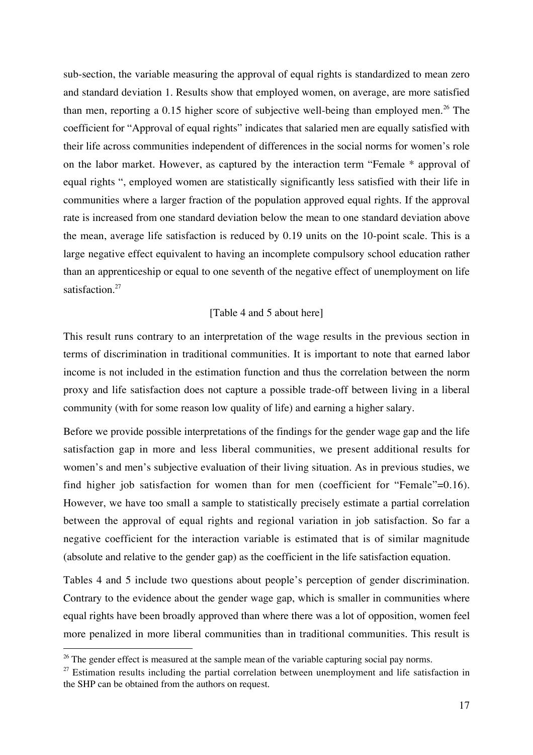sub-section, the variable measuring the approval of equal rights is standardized to mean zero and standard deviation 1. Results show that employed women, on average, are more satisfied than men, reporting a 0.15 higher score of subjective well-being than employed men.<sup>26</sup> The coefficient for "Approval of equal rights" indicates that salaried men are equally satisfied with their life across communities independent of differences in the social norms for women's role on the labor market. However, as captured by the interaction term "Female \* approval of equal rights ", employed women are statistically significantly less satisfied with their life in communities where a larger fraction of the population approved equal rights. If the approval rate is increased from one standard deviation below the mean to one standard deviation above the mean, average life satisfaction is reduced by 0.19 units on the 10-point scale. This is a large negative effect equivalent to having an incomplete compulsory school education rather than an apprenticeship or equal to one seventh of the negative effect of unemployment on life satisfaction.<sup>27</sup>

## [Table 4 and 5 about here]

This result runs contrary to an interpretation of the wage results in the previous section in terms of discrimination in traditional communities. It is important to note that earned labor income is not included in the estimation function and thus the correlation between the norm proxy and life satisfaction does not capture a possible trade-off between living in a liberal community (with for some reason low quality of life) and earning a higher salary.

Before we provide possible interpretations of the findings for the gender wage gap and the life satisfaction gap in more and less liberal communities, we present additional results for women's and men's subjective evaluation of their living situation. As in previous studies, we find higher job satisfaction for women than for men (coefficient for "Female"=0.16). However, we have too small a sample to statistically precisely estimate a partial correlation between the approval of equal rights and regional variation in job satisfaction. So far a negative coefficient for the interaction variable is estimated that is of similar magnitude (absolute and relative to the gender gap) as the coefficient in the life satisfaction equation.

Tables 4 and 5 include two questions about people's perception of gender discrimination. Contrary to the evidence about the gender wage gap, which is smaller in communities where equal rights have been broadly approved than where there was a lot of opposition, women feel more penalized in more liberal communities than in traditional communities. This result is

<sup>&</sup>lt;sup>26</sup> The gender effect is measured at the sample mean of the variable capturing social pay norms.

 $27$  Estimation results including the partial correlation between unemployment and life satisfaction in the SHP can be obtained from the authors on request.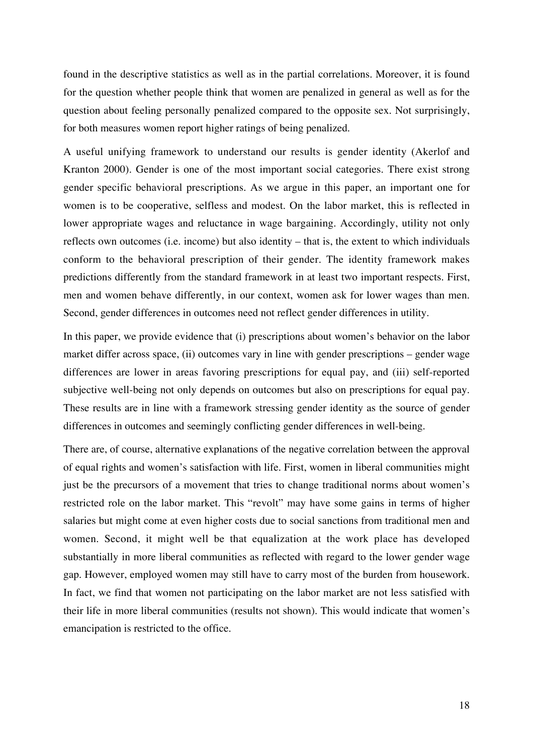found in the descriptive statistics as well as in the partial correlations. Moreover, it is found for the question whether people think that women are penalized in general as well as for the question about feeling personally penalized compared to the opposite sex. Not surprisingly, for both measures women report higher ratings of being penalized.

A useful unifying framework to understand our results is gender identity (Akerlof and Kranton 2000). Gender is one of the most important social categories. There exist strong gender specific behavioral prescriptions. As we argue in this paper, an important one for women is to be cooperative, selfless and modest. On the labor market, this is reflected in lower appropriate wages and reluctance in wage bargaining. Accordingly, utility not only reflects own outcomes (i.e. income) but also identity – that is, the extent to which individuals conform to the behavioral prescription of their gender. The identity framework makes predictions differently from the standard framework in at least two important respects. First, men and women behave differently, in our context, women ask for lower wages than men. Second, gender differences in outcomes need not reflect gender differences in utility.

In this paper, we provide evidence that (i) prescriptions about women's behavior on the labor market differ across space, (ii) outcomes vary in line with gender prescriptions – gender wage differences are lower in areas favoring prescriptions for equal pay, and (iii) self-reported subjective well-being not only depends on outcomes but also on prescriptions for equal pay. These results are in line with a framework stressing gender identity as the source of gender differences in outcomes and seemingly conflicting gender differences in well-being.

There are, of course, alternative explanations of the negative correlation between the approval of equal rights and women's satisfaction with life. First, women in liberal communities might just be the precursors of a movement that tries to change traditional norms about women's restricted role on the labor market. This "revolt" may have some gains in terms of higher salaries but might come at even higher costs due to social sanctions from traditional men and women. Second, it might well be that equalization at the work place has developed substantially in more liberal communities as reflected with regard to the lower gender wage gap. However, employed women may still have to carry most of the burden from housework. In fact, we find that women not participating on the labor market are not less satisfied with their life in more liberal communities (results not shown). This would indicate that women's emancipation is restricted to the office.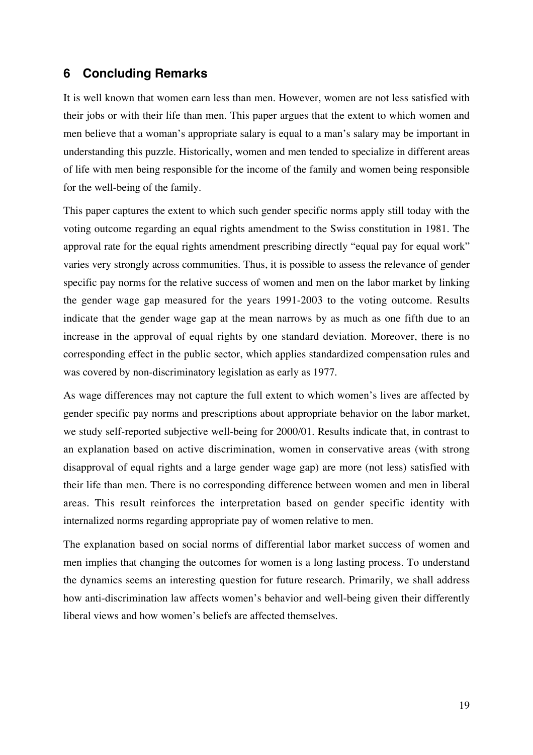## **6 Concluding Remarks**

It is well known that women earn less than men. However, women are not less satisfied with their jobs or with their life than men. This paper argues that the extent to which women and men believe that a woman's appropriate salary is equal to a man's salary may be important in understanding this puzzle. Historically, women and men tended to specialize in different areas of life with men being responsible for the income of the family and women being responsible for the well-being of the family.

This paper captures the extent to which such gender specific norms apply still today with the voting outcome regarding an equal rights amendment to the Swiss constitution in 1981. The approval rate for the equal rights amendment prescribing directly "equal pay for equal work" varies very strongly across communities. Thus, it is possible to assess the relevance of gender specific pay norms for the relative success of women and men on the labor market by linking the gender wage gap measured for the years 1991-2003 to the voting outcome. Results indicate that the gender wage gap at the mean narrows by as much as one fifth due to an increase in the approval of equal rights by one standard deviation. Moreover, there is no corresponding effect in the public sector, which applies standardized compensation rules and was covered by non-discriminatory legislation as early as 1977.

As wage differences may not capture the full extent to which women's lives are affected by gender specific pay norms and prescriptions about appropriate behavior on the labor market, we study self-reported subjective well-being for 2000/01. Results indicate that, in contrast to an explanation based on active discrimination, women in conservative areas (with strong disapproval of equal rights and a large gender wage gap) are more (not less) satisfied with their life than men. There is no corresponding difference between women and men in liberal areas. This result reinforces the interpretation based on gender specific identity with internalized norms regarding appropriate pay of women relative to men.

The explanation based on social norms of differential labor market success of women and men implies that changing the outcomes for women is a long lasting process. To understand the dynamics seems an interesting question for future research. Primarily, we shall address how anti-discrimination law affects women's behavior and well-being given their differently liberal views and how women's beliefs are affected themselves.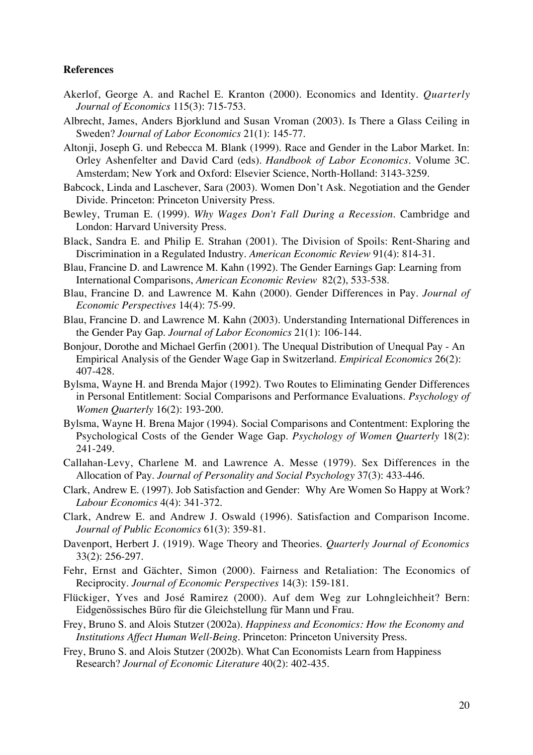### **References**

- Akerlof, George A. and Rachel E. Kranton (2000). Economics and Identity. *Quarterly Journal of Economics* 115(3): 715-753.
- Albrecht, James, Anders Bjorklund and Susan Vroman (2003). Is There a Glass Ceiling in Sweden? *Journal of Labor Economics* 21(1): 145-77.
- Altonii, Joseph G. und Rebecca M. Blank (1999). Race and Gender in the Labor Market. In: Orley Ashenfelter and David Card (eds). *Handbook of Labor Economics.* Volume 3C. Amsterdam; New York and Oxford: Elsevier Science, North-Holland: 3143-3259.
- Babcock, Linda and Laschever, Sara (2003). Women Don't Ask. Negotiation and the Gender Divide. Princeton: Princeton University Press.
- Bewley, Truman E. (1999). *Why Wages Don't Fall During a Recession.* Cambridge and London: Harvard University Press.
- Black, Sandra E. and Philip E. Strahan (2001). The Division of Spoils: Rent-Sharing and Discrimination in a Regulated Industry. *American Economic Review* 91(4): 814-31.
- Blau, Francine D. and Lawrence M. Kahn (1992). The Gender Earnings Gap: Learning from International Comparisons, *American Economic Review* 82(2), 533-538.
- Blau, Francine D. and Lawrence M. Kahn (2000). Gender Differences in Pay. *Journal of Economic Perspectives* 14(4): 75-99.
- Blau, Francine D. and Lawrence M. Kahn (2003). Understanding International Differences in the Gender Pay Gap. *Journal of Labor Economics* 21(1): 106-144.
- Bonjour, Dorothe and Michael Gerfin (2001). The Unequal Distribution of Unequal Pay An Empirical Analysis of the Gender Wage Gap in Switzerland. *Empirical Economics* 26(2): 407-428.
- Bylsma, Wayne H. and Brenda Major (1992). Two Routes to Eliminating Gender Differences in Personal Entitlement: Social Comparisons and Performance Evaluations. *Psychology of Women Quarterly* 16(2): 193-200.
- Bylsma, Wayne H. Brena Major (1994). Social Comparisons and Contentment: Exploring the Psychological Costs of the Gender Wage Gap. *Psychology of Women Quarterly* 18(2): 241-249.
- Callahan-Levy, Charlene M. and Lawrence A. Messe (1979). Sex Differences in the Allocation of Pay. *Journal of Personality and Social Psychology* 37(3): 433-446.
- Clark, Andrew E. (1997). Job Satisfaction and Gender: Why Are Women So Happy at Work? *Labour Economics* 4(4): 341-372.
- Clark, Andrew E. and Andrew J. Oswald (1996). Satisfaction and Comparison Income. *Journal of Public Economics* 61(3): 359-81.
- Davenport, Herbert J. (1919). Wage Theory and Theories. *Quarterly Journal of Economics* 33(2): 256-297.
- Fehr, Ernst and Gächter, Simon (2000). Fairness and Retaliation: The Economics of Reciprocity. *Journal of Economic Perspectives* 14(3): 159-181.
- Flückiger, Yves and José Ramirez (2000). Auf dem Weg zur Lohngleichheit? Bern: Eidgenössisches Büro für die Gleichstellung für Mann und Frau.
- Frey, Bruno S. and Alois Stutzer (2002a). *Happiness and Economics: How the Economy and Institutions Affect Human Well-Being.* Princeton: Princeton University Press.
- Frey, Bruno S. and Alois Stutzer (2002b). What Can Economists Learn from Happiness Research? *Journal of Economic Literature* 40(2): 402-435.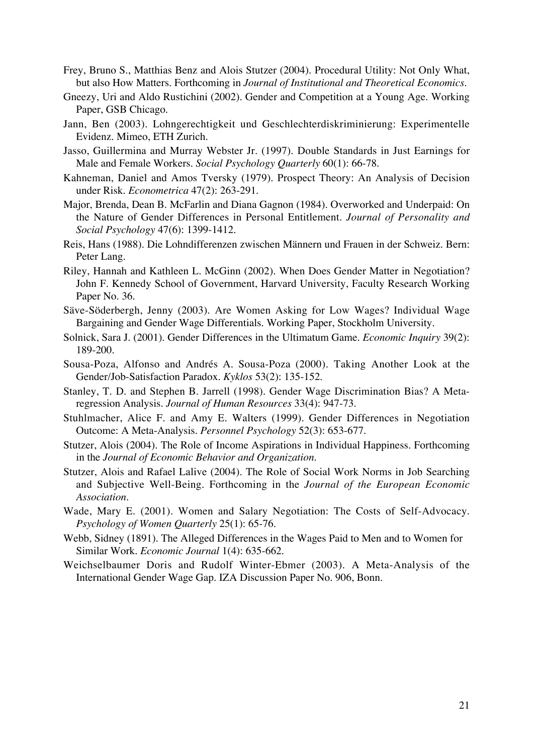- Frey, Bruno S., Matthias Benz and Alois Stutzer (2004). Procedural Utility: Not Only What, but also How Matters. Forthcoming in *Journal of Institutional and Theoretical Economics*.
- Gneezy, Uri and Aldo Rustichini (2002). Gender and Competition at a Young Age. Working Paper, GSB Chicago.
- Jann, Ben (2003). Lohngerechtigkeit und Geschlechterdiskriminierung: Experimentelle Evidenz. Mimeo, ETH Zurich.
- Jasso, Guillermina and Murray Webster Jr. (1997). Double Standards in Just Earnings for Male and Female Workers. *Social Psychology Quarterly* 60(1): 66-78.
- Kahneman, Daniel and Amos Tversky (1979). Prospect Theory: An Analysis of Decision under Risk. *Econometrica* 47(2): 263-291.
- Major, Brenda, Dean B. McFarlin and Diana Gagnon (1984). Overworked and Underpaid: On the Nature of Gender Differences in Personal Entitlement. *Journal of Personality and Social Psychology* 47(6): 1399-1412.
- Reis, Hans (1988). Die Lohndifferenzen zwischen Männern und Frauen in der Schweiz. Bern: Peter Lang.
- Riley, Hannah and Kathleen L. McGinn (2002). When Does Gender Matter in Negotiation? John F. Kennedy School of Government, Harvard University, Faculty Research Working Paper No. 36.
- Säve-Söderbergh, Jenny (2003). Are Women Asking for Low Wages? Individual Wage Bargaining and Gender Wage Differentials. Working Paper, Stockholm University.
- Solnick, Sara J. (2001). Gender Differences in the Ultimatum Game. *Economic Inquiry* 39(2): 189-200.
- Sousa-Poza, Alfonso and Andrés A. Sousa-Poza (2000). Taking Another Look at the Gender/Job-Satisfaction Paradox. *Kyklos* 53(2): 135-152.
- Stanley, T. D. and Stephen B. Jarrell (1998). Gender Wage Discrimination Bias? A Metaregression Analysis. *Journal of Human Resources* 33(4): 947-73.
- Stuhlmacher, Alice F. and Amy E. Walters (1999). Gender Differences in Negotiation Outcome: A Meta-Analysis. *Personnel Psychology* 52(3): 653-677.
- Stutzer, Alois (2004). The Role of Income Aspirations in Individual Happiness. Forthcoming in the *Journal of Economic Behavior and Organization*.
- Stutzer, Alois and Rafael Lalive (2004). The Role of Social Work Norms in Job Searching and Subjective Well-Being. Forthcoming in the *Journal of the European Economic Association*.
- Wade, Mary E. (2001). Women and Salary Negotiation: The Costs of Self-Advocacy. *Psychology of Women Quarterly* 25(1): 65-76.
- Webb, Sidney (1891). The Alleged Differences in the Wages Paid to Men and to Women for Similar Work. *Economic Journal* 1(4): 635-662.
- Weichselbaumer Doris and Rudolf Winter-Ebmer (2003). A Meta-Analysis of the International Gender Wage Gap. IZA Discussion Paper No. 906, Bonn.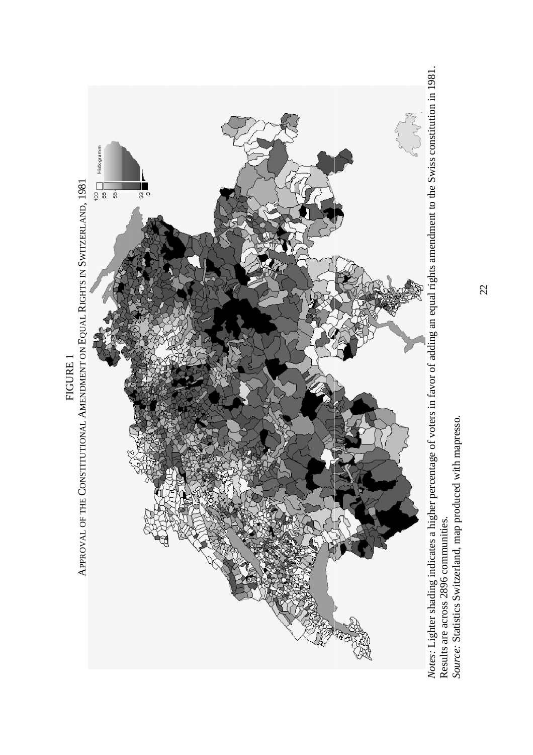

Notes: Lighter shading indicates a higher percentage of voters in favor of adding an equal rights amendment to the Swiss constitution in 1981.<br>Results are across 2896 communities.<br>Source: Statistics Switzerland, map produc *Source:* Statistics Switzerland, map produced with mapresso. Results are across 2896 communities.

22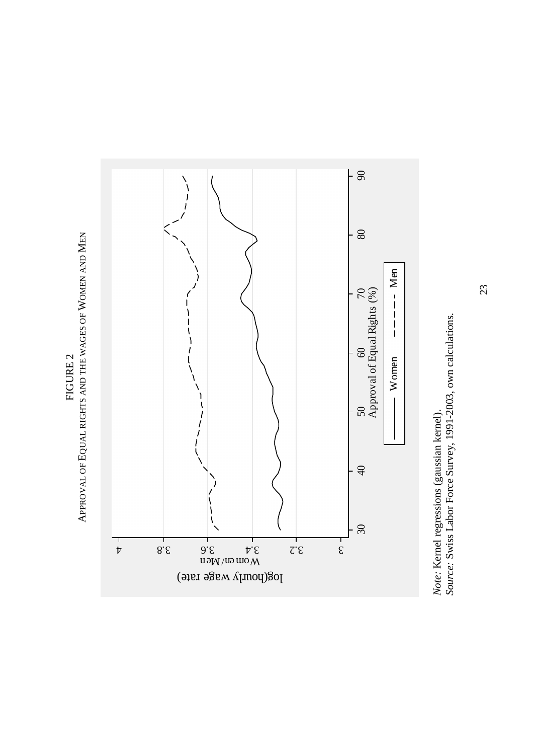

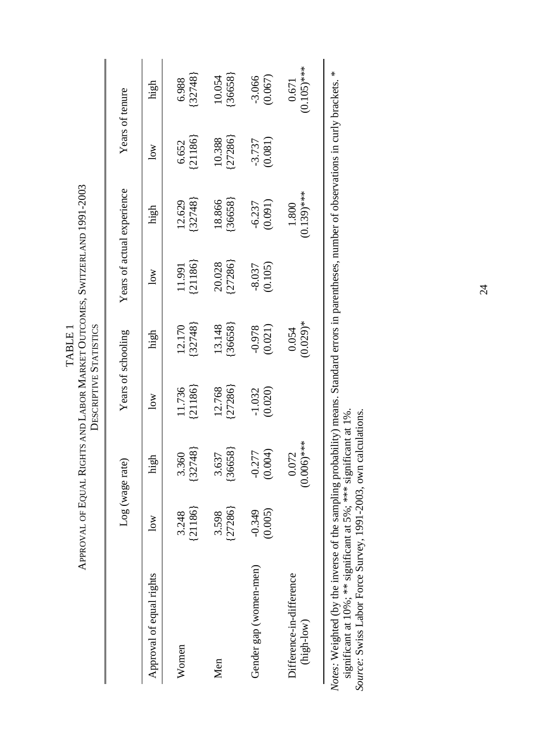| TADIC | $\sim$ 1001 $\sim$ $\sim$<br>1931-20<br>Approval of Eoual Rights and Labor Market Outcomes. Switzerlani | DESCRIPTIVE STATISTICS |
|-------|---------------------------------------------------------------------------------------------------------|------------------------|
|       |                                                                                                         |                        |

|                                                                                                                                                      |                     | Log (wage rate)                 |                     | Years of schooling   |                         | Years of actual experience |                     | Years of tenure        |
|------------------------------------------------------------------------------------------------------------------------------------------------------|---------------------|---------------------------------|---------------------|----------------------|-------------------------|----------------------------|---------------------|------------------------|
| Approval of equal rights                                                                                                                             | 10W                 | high                            | $\log$              | high                 | $\overline{\text{Now}}$ | high                       | $\overline{a}$      | high                   |
| Women                                                                                                                                                | (21186)<br>3.248    | [32748]<br>3.360                | (21186)<br>11.736   | (32748)<br>12.170    | (21186)<br>11.991       | [32748]<br>12.629          | [21186]<br>6.652    | 32748<br>6.988         |
| Men                                                                                                                                                  | ${27286}$<br>3.598  | [36658]<br>3.637                | (27286)<br>12.768   | ${36658}$<br>13.148  | [27286]<br>20.028       | ${36658}$<br>18.866        | [27286]<br>10.388   | [36658]<br>10.054      |
| Gender gap (women-men)                                                                                                                               | $-0.349$<br>(0.005) | (0.004)<br>$-0.27$ <sup>-</sup> | (0.020)<br>$-1.032$ | (0.021)<br>$-0.978$  | (0.105)<br>$-8.037$     | (0.091)<br>$-6.237$        | (0.081)<br>$-3.737$ | (0.067)<br>$-3.066$    |
| Difference-in-difference<br>$(\text{high-low})$                                                                                                      |                     | $(0.006)$ ***<br>0.072          |                     | $(0.029)$ *<br>0.054 |                         | $(0.139)$ ***<br>1.800     |                     | $(0.105)$ ***<br>0.671 |
| <i>lotes:</i> Weighted (by the inverse of the sampling probability) means. Standard errors in parentheses, number of observations in curly brackets. |                     |                                 |                     |                      |                         |                            |                     | *                      |

*Notes:* Weighted (by the inverse of the sampling probability) means. Standard errors in parentheses, number of observations in curly brackets. \*  $\mathbf{z}$  $\cdot$ .  $\frac{1}{2}$ Averes. Wegneed to the movement of the procedure y means the significant at 10%; \*\* significant at 5%; \*\*\* significant at 1%.<br>Source: Swiss Labor Force Survey, 1991-2003, own calculations. significant at 10%; \*\* significant at 5%; \*\*\* significant at 1%. *Source:* Swiss Labor Force Survey, 1991-2003, own calculations.

24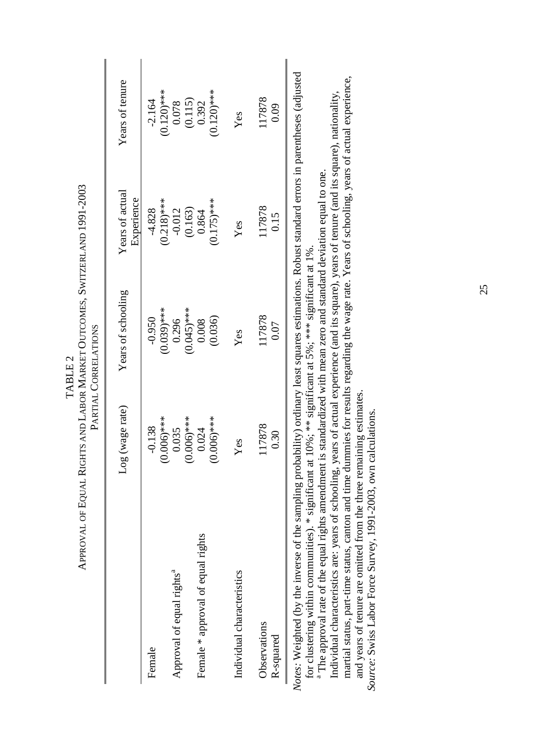|                                       | (wage rate)<br>goT                 | Years of schooling        | Years of actual<br>Experience | Years of tenure                                        |
|---------------------------------------|------------------------------------|---------------------------|-------------------------------|--------------------------------------------------------|
| Female                                | $0.006$ <sup>***</sup><br>$-0.138$ | $(0.039)$ ***<br>$-0.950$ | $(0.218)$ ***<br>$-4.828$     | $(0.120)$ ***<br>$-2.164$                              |
| Approval of equal rights <sup>a</sup> | 0.035                              | 0.296                     | $-0.012$                      |                                                        |
|                                       | $0.006$ <sup>***</sup>             | $(0.045)$ ***             | $(0.163)$<br>$0.864$          | $\begin{array}{c} 0.078 \\ 0.115 \\ 0.392 \end{array}$ |
| Female * approval of equal rights     | 0.024                              | 0.008                     |                               |                                                        |
|                                       | $0.006$ <sup>***</sup>             | (0.036)                   | $(0.175)$ ***                 | $(0.120)$ ***                                          |
| Individual characteristics            | Yes                                | Yes                       | Yes                           | Yes                                                    |
| Observations                          | 117878                             | 117878                    | 117878                        | 117878                                                 |
| R-squared                             | 0.30                               | 0.07                      | 0.15                          | 0.09                                                   |
|                                       |                                    |                           |                               | لامنسالم/مممطنسسسم                                     |

APPROVAL OF EQUAL RIGHTS AND LABOR MARKET OUTCOMES, SWITZERLAND 1991-2003 APPROVAL OF EQUAL RIGHTS AND LABOR MARKET OUTCOMES, SWITZERLAND 1991-2003 PARTIAL CORRELATIONS PARTIAL CORRELATIONS TABLE 2 TABLE<sub>2</sub>

Notes: Weighted (by the inverse of the sampling probability) ordinary least squares estimations. Robust standard errors in parentheses (adjusted *Notes:* Weighted (by the inverse of the sampling probability) ordinary least squares estimations. Robust standard errors in parentheses (adjusted

<sup>a</sup> The approval rate of the equal rights amendment is standardized with mean zero and standard deviation equal to one. <sup>a</sup> The approval rate of the equal rights amendment is standardized with mean zero and standard deviation equal to one. for clustering within communities). \* significant at 10%; \*\* significant at 5%; \*\*\* significant at 1%. for clustering within communities). \* significant at 10%; \*\* significant at 5%; \*\*\* significant at 1%.

martial status, part-time status, canton and time dummies for results regarding the wage rate. Years of schooling, years of actual experience, martial status, part-time status, canton and time dummies for results regarding the wage rate. Years of schooling, years of actual experience, Individual characteristics are: years of schooling, years of actual experience (and its square), years of tenure (and its square), nationality, Individual characteristics are: years of schooling, years of actual experience (and its square), years of tenure (and its square), nationality,

and years of tenure are omitted from the three remaining estimates. and years of tenure are omitted from the three remaining estimates. *Source:* Swiss Labor Force Survey, 1991-2003, own calculations. Source: Swiss Labor Force Survey, 1991-2003, own calculations.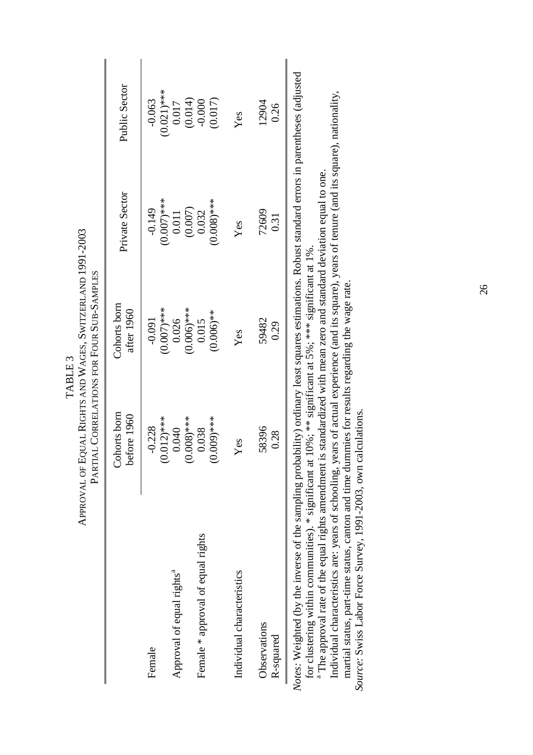|                                       |                                                 | PARTIAL CORRELATIONS FOR FOUR SUB-SAMPLES |                                                                 |                                                                      |
|---------------------------------------|-------------------------------------------------|-------------------------------------------|-----------------------------------------------------------------|----------------------------------------------------------------------|
|                                       | Cohorts born<br>before 1960                     | Cohorts born<br>after 1960                | Private Sector                                                  | Public Sector                                                        |
| Female                                | $0.012$ <sup>***</sup><br>$-0.228$              | (0.0000)<br>$-0.091$                      | $-0.149$                                                        | $(0.021)$ ***<br>$-0.063$                                            |
| Approval of equal rights <sup>a</sup> | 0.040                                           | 0.026                                     | $(0.007)$ ***<br>0.011                                          |                                                                      |
| Female * approval of equal rights     | $0.008$ <sup>***</sup><br>$0.009$ ****<br>0.038 | $(0.006)$ ***<br>$(0.006)$ **<br>0.015    | $(0.008)$ ***<br>$\begin{array}{c} (0.007)\\ 0.032 \end{array}$ | $\begin{array}{c} 0.017 \\ (0.014) \\ -0.000 \end{array}$<br>(0.017) |
| Individual characteristics            | Yes                                             | Yes                                       | Yes                                                             | Yes                                                                  |
| Observations<br>R-squared             | 58396<br>0.28                                   | 59482<br>0.29                             | 72609<br>0.31                                                   | 12904<br>0.26                                                        |
|                                       |                                                 |                                           |                                                                 |                                                                      |

APPROVAL OF EQUAL RIGHTS AND WAGES, SWITZERLAND 1991-2003 APPROVAL OF EQUAL RIGHTS AND WAGES, SWITZERLAND 1991-2003 TABLE<sub>3</sub> TABLE 3

Notes: Weighted (by the inverse of the sampling probability) ordinary least squares estimations. Robust standard errors in parentheses (adjusted *Notes:* Weighted (by the inverse of the sampling probability) ordinary least squares estimations. Robust standard errors in parentheses (adjusted for clustering within communities). \* significant at 10%; \*\* significant at 5%; \*\*\* significant at 1%.

<sup>a</sup> The approval rate of the equal rights amendment is standardized with mean zero and standard deviation equal to one. <sup>a</sup> The approval rate of the equal rights amendment is standardized with mean zero and standard deviation equal to one. for clustering within communities). \* significant at 10%; \*\* significant at 5%; \*\*\* significant at 1%.

Individual characteristics are: years of schooling, years of actual experience (and its square), years of tenure (and its square), nationality, Individual characteristics are: years of schooling, years of actual experience (and its square), years of tenure (and its square), nationality, martial status, part-time status, canton and time dummies for results regarding the wage rate. martial status, part-time status, canton and time dummies for results regarding the wage rate.

*Source:* Swiss Labor Force Survey, 1991-2003, own calculations. Source: Swiss Labor Force Survey, 1991-2003, own calculations.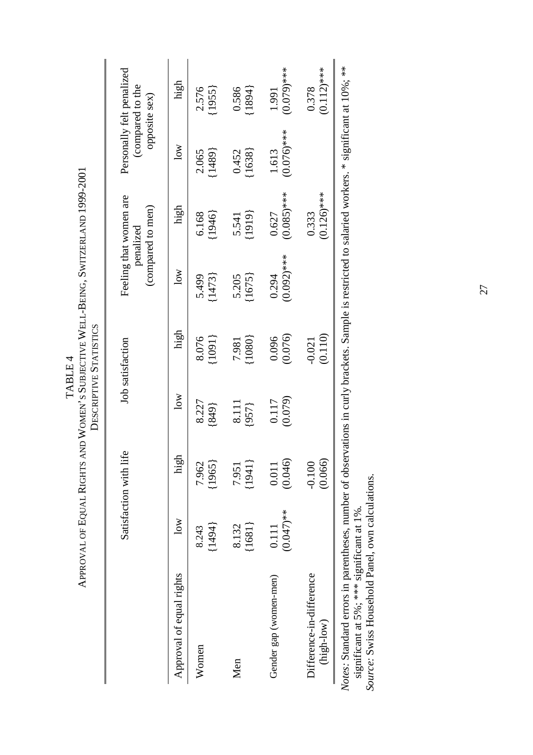| <b>TADITIE</b> | $\mathbf{i}$<br>ہ<br>بہ<br>Ï<br>j<br>7<br>l | it - Fr |
|----------------|---------------------------------------------|---------|
|----------------|---------------------------------------------|---------|

|                                                                                                                                                                                                                                                      |                         | Satisfaction with life |                  | Job satisfaction    |                        | Feeling that women are<br>(compared to men)<br>penalized |                        | Personally felt penalized<br>(compared to the<br>opposite sex) |
|------------------------------------------------------------------------------------------------------------------------------------------------------------------------------------------------------------------------------------------------------|-------------------------|------------------------|------------------|---------------------|------------------------|----------------------------------------------------------|------------------------|----------------------------------------------------------------|
| Approval of equal rights                                                                                                                                                                                                                             | $\overline{\text{low}}$ | high                   | $\log$           | high                | $\log$                 | high                                                     | 10W                    | high                                                           |
| Women                                                                                                                                                                                                                                                | ${1494}$<br>8.243       | ${1965}$<br>7.962      | 8.227<br>(849)   | (1091)<br>8.076     | ${1473}$<br>5.499      | (1946)<br>6.168                                          | (1489)<br>2.065        | (1955)<br>2.576                                                |
| Men                                                                                                                                                                                                                                                  | ${1681}$<br>8.132       | ${1941}$<br>7.951      | 8.111<br>(957)   | ${1080}$<br>7.981   | ${1675}$<br>5.205      | (1919)<br>5.541                                          | ${1638}$<br>0.452      | 0.586<br>${1894}$                                              |
| Gender gap (women-men)                                                                                                                                                                                                                               | $(0.047)$ **<br>0.111   | (0.046)<br>0.011       | (0.079)<br>0.117 | (0.076)<br>0.096    | $(0.092)$ ***<br>0.294 | $(0.085)$ ***<br>0.627                                   | $(0.076)$ ***<br>1.613 | $(0.079)$ ***<br>1.991                                         |
| Difference-in-difference<br>$(high-low)$                                                                                                                                                                                                             |                         | (0.066)<br>$-0.100$    |                  | (0.110)<br>$-0.021$ |                        | $(0.126)$ ***<br>0.333                                   |                        | $(0.112)$ ***<br>0.378                                         |
| Notes: Standard errors in parentheses, number of observations in curly brackets. Sample is restricted to salaried workers. * significant at 10%; **<br>Source: Swiss Household Panel, own calculations.<br>significant at 5%; *** significant at 1%. |                         |                        |                  |                     |                        |                                                          |                        |                                                                |

27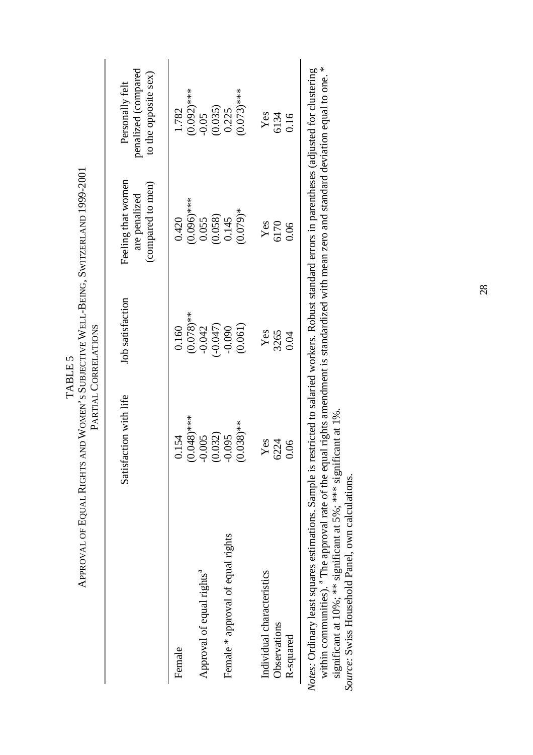|                                                                                                                                                    | APPROVAL OF EQUAL RIGHTS AND WOMEN'S SUBJECTIVE WELL-BEING, SWITZERLAND 1999-2001 | PARTIAL CORRELATIONS     |                                                          |                                                                |
|----------------------------------------------------------------------------------------------------------------------------------------------------|-----------------------------------------------------------------------------------|--------------------------|----------------------------------------------------------|----------------------------------------------------------------|
|                                                                                                                                                    | Satisfaction with life                                                            | Job satisfaction         | Feeling that women<br>(compared to men)<br>are penalized | penalized (compared<br>to the opposite sex)<br>Personally felt |
| Female                                                                                                                                             | 0.154                                                                             | 0.160                    | 0.420                                                    | 1.782                                                          |
| Approval of equal rights <sup>a</sup>                                                                                                              | $0.048$ <sup>***</sup><br>0.005                                                   | $(0.078)$ **<br>$-0.042$ | $(0.096)$ ***<br>0.055                                   | $(0.092)$ ***<br>$-0.05$                                       |
|                                                                                                                                                    | 0.032)                                                                            | $(1+0.047)$              | (0.058)                                                  | (0.035)                                                        |
| Female * approval of equal rights                                                                                                                  | 0.095                                                                             | $-0.090$                 | 0.145                                                    | 0.225                                                          |
|                                                                                                                                                    | $0.038$ <sup>**</sup>                                                             | (0.061)                  | $(0.079)*$                                               | $(0.073)$ ***                                                  |
| Individual characteristics                                                                                                                         | Yes                                                                               | Yes                      | Yes                                                      |                                                                |
| Observations                                                                                                                                       | 6224                                                                              | 3265                     | 6170                                                     | Yes<br>6134                                                    |
| R-squared                                                                                                                                          | 0.06                                                                              | 0.04                     | 0.06                                                     | 0.16                                                           |
| otes: Ordinary least squares estimations. Sample is restricted to salaried workers. Robust standard errors in parentheses (adjusted for clustering |                                                                                   |                          |                                                          |                                                                |

TABLE 5 APPROVAL OF EQUAL RIGHTS AND WOMEN'S SUBJECTIVE WELL-BEING, SWITZERLAND 1999-2001

TABLE 5

within communities). <sup>a</sup> The approval rate of the equal rights amendment is standardized with mean zero and standard deviation equal to one. \*<br>significant at 10%; \*\* significant at 5%; \*\*\* significant at 1%.<br>*Source*: Swis within communities). <sup>a</sup> The approval rate of the equal rights amendment is standardized with mean zero and standard deviation equal to one. \* *Notes:* Ordinary least squares estimations. Sample is restricted to salaried workers. Robust standard errors in parentheses (adjusted for clustering significant at 10%; \*\* significant at 5%; \*\*\* significant at 1%. Ž

*Source:* Swiss Household Panel, own calculations.

28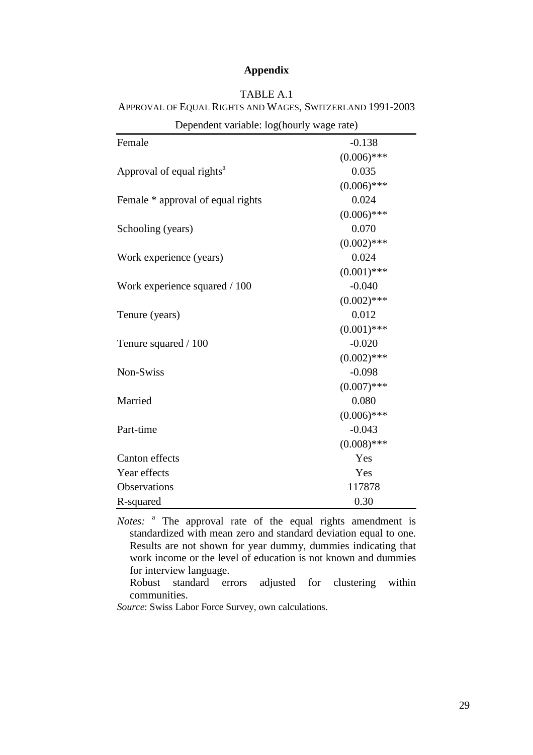## **Appendix**

| TABLE A.1                                                 |  |
|-----------------------------------------------------------|--|
| APPROVAL OF EQUAL RIGHTS AND WAGES, SWITZERLAND 1991-2003 |  |

| Dependent variable: log(nourly wage rate) |               |
|-------------------------------------------|---------------|
| Female                                    | $-0.138$      |
|                                           | $(0.006)$ *** |
| Approval of equal rights <sup>a</sup>     | 0.035         |
|                                           | $(0.006)$ *** |
| Female * approval of equal rights         | 0.024         |
|                                           | $(0.006)$ *** |
| Schooling (years)                         | 0.070         |
|                                           | $(0.002)$ *** |
| Work experience (years)                   | 0.024         |
|                                           | $(0.001)$ *** |
| Work experience squared / 100             | $-0.040$      |
|                                           | $(0.002)$ *** |
| Tenure (years)                            | 0.012         |
|                                           | $(0.001)$ *** |
| Tenure squared / 100                      | $-0.020$      |
|                                           | $(0.002)$ *** |
| Non-Swiss                                 | $-0.098$      |
|                                           | $(0.007)$ *** |
| Married                                   | 0.080         |
|                                           | $(0.006)$ *** |
| Part-time                                 | $-0.043$      |
|                                           | $(0.008)$ *** |
| Canton effects                            | Yes           |
| Year effects                              | Yes           |
| Observations                              | 117878        |
| R-squared                                 | 0.30          |

Dependent variable: log(hourly wage rate)

*Notes:* <sup>a</sup> The approval rate of the equal rights amendment is standardized with mean zero and standard deviation equal to one. Results are not shown for year dummy, dummies indicating that work income or the level of education is not known and dummies for interview language.

Robust standard errors adjusted for clustering within communities.

*Source*: Swiss Labor Force Survey, own calculations.